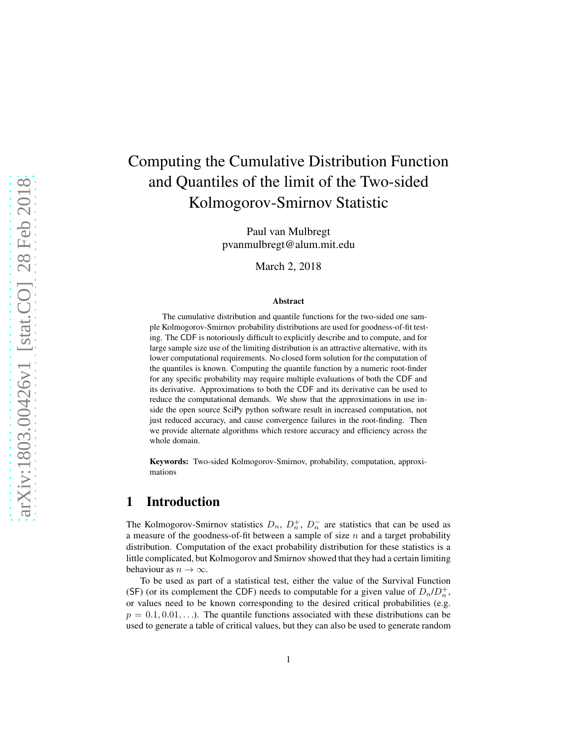# Computing the Cumulative Distribution Function and Quantiles of the limit of the Two-sided Kolmogorov-Smirnov Statistic

Paul van Mulbregt pvanmulbregt@alum.mit.edu

March 2, 2018

#### Abstract

The cumulative distribution and quantile functions for the two-sided one sample Kolmogorov-Smirnov probability distributions are used for goodness-of-fit testing. The CDF is notoriously difficult to explicitly describe and to compute, and for large sample size use of the limiting distribution is an attractive alternative, with its lower computational requirements. No closed form solution for the computation of the quantiles is known. Computing the quantile function by a numeric root-finder for any specific probability may require multiple evaluations of both the CDF and its derivative. Approximations to both the CDF and its derivative can be used to reduce the computational demands. We show that the approximations in use inside the open source SciPy python software result in increased computation, not just reduced accuracy, and cause convergence failures in the root-finding. Then we provide alternate algorithms which restore accuracy and efficiency across the whole domain.

Keywords: Two-sided Kolmogorov-Smirnov, probability, computation, approximations

# 1 Introduction

The Kolmogorov-Smirnov statistics  $D_n$ ,  $D_n^+$ ,  $D_n^-$  are statistics that can be used as a measure of the goodness-of-fit between a sample of size  $n$  and a target probability distribution. Computation of the exact probability distribution for these statistics is a little complicated, but Kolmogorov and Smirnov showed that they had a certain limiting behaviour as  $n \to \infty$ .

To be used as part of a statistical test, either the value of the Survival Function (SF) (or its complement the CDF) needs to computable for a given value of  $D_n/D_n^+$ , or values need to be known corresponding to the desired critical probabilities (e.g.  $p = 0.1, 0.01, \ldots$ ). The quantile functions associated with these distributions can be used to generate a table of critical values, but they can also be used to generate random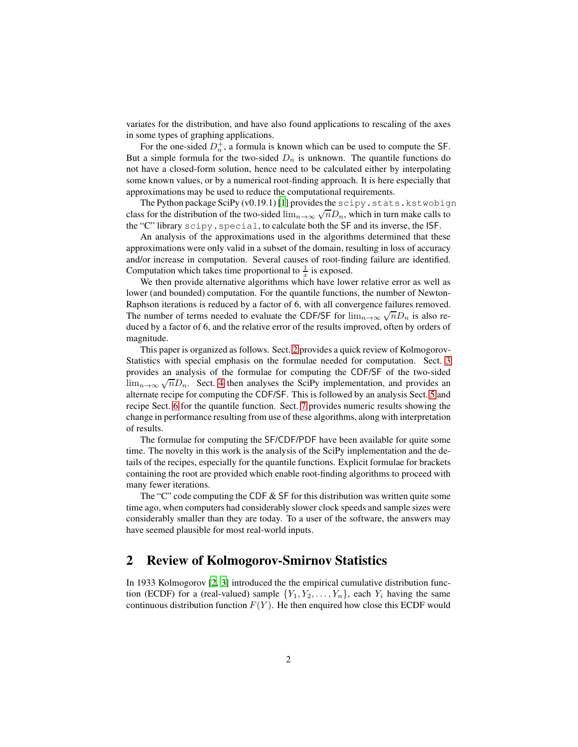variates for the distribution, and have also found applications to rescaling of the axes in some types of graphing applications.

For the one-sided  $D_n^+$ , a formula is known which can be used to compute the SF. But a simple formula for the two-sided  $D_n$  is unknown. The quantile functions do not have a closed-form solution, hence need to be calculated either by interpolating some known values, or by a numerical root-finding approach. It is here especially that approximations may be used to reduce the computational requirements.

The Python package SciPy (v0.19.1) [\[1\]](#page-18-0) provides the scipy.stats.kstwobign class for the distribution of the two-sided  $\lim_{n\to\infty}\sqrt{n}D_n$ , which in turn make calls to the "C" library scipy.special, to calculate both the SF and its inverse, the ISF.

An analysis of the approximations used in the algorithms determined that these approximations were only valid in a subset of the domain, resulting in loss of accuracy and/or increase in computation. Several causes of root-finding failure are identified. Computation which takes time proportional to  $\frac{1}{x}$  is exposed.

We then provide alternative algorithms which have lower relative error as well as lower (and bounded) computation. For the quantile functions, the number of Newton-Raphson iterations is reduced by a factor of 6, with all convergence failures removed. The number of terms needed to evaluate the CDF/SF for  $\lim_{n\to\infty}\sqrt{n}D_n$  is also reduced by a factor of 6, and the relative error of the results improved, often by orders of magnitude.

This paper is organized as follows. Sect. [2](#page-1-0) provides a quick review of Kolmogorov-Statistics with special emphasis on the formulae needed for computation. Sect. [3](#page-3-0) provides an analysis of the formulae for computing the CDF/SF of the two-sided  $\lim_{n\to\infty}\sqrt{n}D_n$ . Sect. [4](#page-7-0) then analyses the SciPy implementation, and provides an alternate recipe for computing the CDF/SF. This is followed by an analysis Sect. [5](#page-9-0) and recipe Sect. [6](#page-14-0) for the quantile function. Sect. [7](#page-16-0) provides numeric results showing the change in performance resulting from use of these algorithms, along with interpretation of results.

The formulae for computing the SF/CDF/PDF have been available for quite some time. The novelty in this work is the analysis of the SciPy implementation and the details of the recipes, especially for the quantile functions. Explicit formulae for brackets containing the root are provided which enable root-finding algorithms to proceed with many fewer iterations.

The "C" code computing the CDF  $&$  SF for this distribution was written quite some time ago, when computers had considerably slower clock speeds and sample sizes were considerably smaller than they are today. To a user of the software, the answers may have seemed plausible for most real-world inputs.

### <span id="page-1-0"></span>2 Review of Kolmogorov-Smirnov Statistics

In 1933 Kolmogorov [\[2](#page-18-1), [3\]](#page-18-2) introduced the the empirical cumulative distribution function (ECDF) for a (real-valued) sample  $\{Y_1, Y_2, \ldots, Y_n\}$ , each  $Y_i$  having the same continuous distribution function  $F(Y)$ . He then enquired how close this ECDF would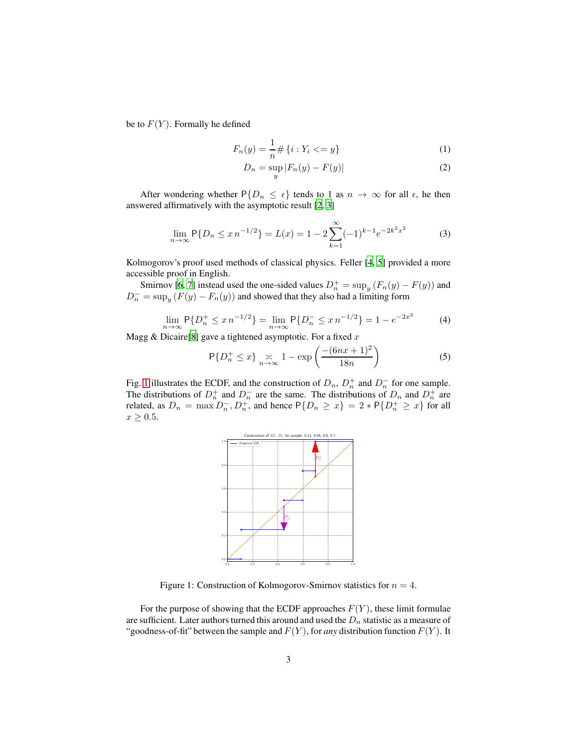be to  $F(Y)$ . Formally he defined

$$
F_n(y) = \frac{1}{n} \# \{ i : Y_i \le y \} \tag{1}
$$

$$
D_n = \sup_y |F_n(y) - F(y)| \tag{2}
$$

After wondering whether  $P\{D_n \leq \epsilon\}$  tends to 1 as  $n \to \infty$  for all  $\epsilon$ , he then answered affirmatively with the asymptotic result [\[2](#page-18-1), [3](#page-18-2)]

$$
\lim_{n \to \infty} \mathsf{P}\{D_n \le x \, n^{-1/2}\} = L(x) = 1 - 2 \sum_{k=1}^{\infty} (-1)^{k-1} e^{-2k^2 x^2}
$$
 (3)

Kolmogorov's proof used methods of classical physics. Feller [\[4,](#page-18-3) [5](#page-18-4)] provided a more accessible proof in English.

Smirnov [\[6,](#page-18-5) [7\]](#page-18-6) instead used the one-sided values  $D_n^+ = \sup_y (F_n(y) - F(y))$  and  $D_n^- = \sup_y (F(y) - F_n(y))$  and showed that they also had a limiting form

$$
\lim_{n \to \infty} \mathsf{P}\{D_n^+ \le x n^{-1/2}\} = \lim_{n \to \infty} \mathsf{P}\{D_n^- \le x n^{-1/2}\} = 1 - e^{-2x^2}
$$
 (4)

Magg & Dicaire[\[8\]](#page-18-7) gave a tightened asymptotic. For a fixed  $x$ 

$$
\mathsf{P}\{D_n^+ \le x\} \underset{n \to \infty}{\asymp} 1 - \exp\left(\frac{-(6nx + 1)^2}{18n}\right) \tag{5}
$$

Fig. [1](#page-2-0) illustrates the ECDF, and the construction of  $D_n$ ,  $D_n^+$  and  $D_n^-$  for one sample. The distributions of  $D_n^+$  and  $D_n^-$  are the same. The distributions of  $D_n$  and  $D_n^+$  are related, as  $D_n = \max_{n} D_n$ ,  $D_n^+$ , and hence  $P\{D_n \ge x\} = 2 * P\{D_n^+ \ge x\}$  for all  $x \geq 0.5$ .



<span id="page-2-0"></span>Figure 1: Construction of Kolmogorov-Smirnov statistics for  $n = 4$ .

For the purpose of showing that the ECDF approaches  $F(Y)$ , these limit formulae are sufficient. Later authors turned this around and used the  $D_n$  statistic as a measure of "goodness-of-fit" between the sample and  $F(Y)$ , for *any* distribution function  $F(Y)$ . It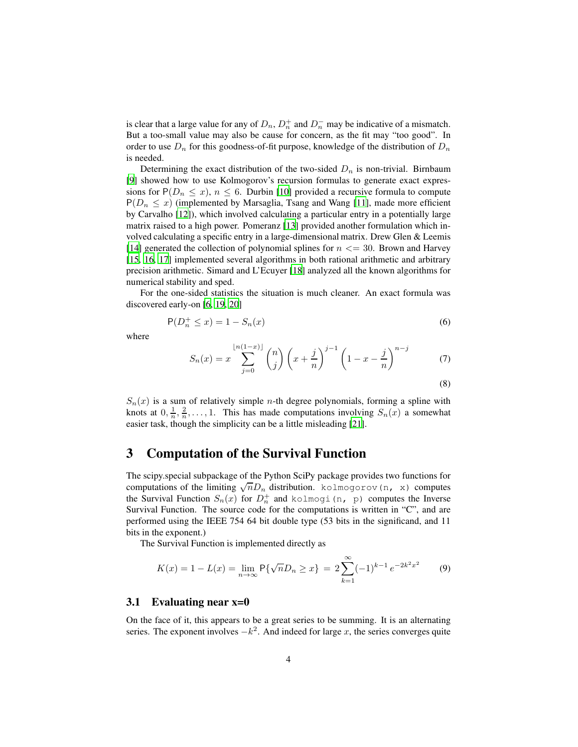is clear that a large value for any of  $D_n$ ,  $D_n^+$  and  $D_n^-$  may be indicative of a mismatch. But a too-small value may also be cause for concern, as the fit may "too good". In order to use  $D_n$  for this goodness-of-fit purpose, knowledge of the distribution of  $D_n$ is needed.

Determining the exact distribution of the two-sided  $D_n$  is non-trivial. Birnbaum [\[9](#page-18-8)] showed how to use Kolmogorov's recursion formulas to generate exact expressions for  $P(D_n \leq x)$ ,  $n \leq 6$ . Durbin [\[10\]](#page-18-9) provided a recursive formula to compute  $P(D_n \leq x)$  (implemented by Marsaglia, Tsang and Wang [\[11\]](#page-18-10), made more efficient by Carvalho [\[12](#page-19-0)]), which involved calculating a particular entry in a potentially large matrix raised to a high power. Pomeranz [\[13](#page-19-1)] provided another formulation which involved calculating a specific entry in a large-dimensional matrix. Drew Glen & Leemis [\[14](#page-19-2)] generated the collection of polynomial splines for  $n \leq 30$ . Brown and Harvey [\[15](#page-19-3), [16,](#page-19-4) [17\]](#page-19-5) implemented several algorithms in both rational arithmetic and arbitrary precision arithmetic. Simard and L'Ecuyer [\[18](#page-19-6)] analyzed all the known algorithms for numerical stability and sped.

For the one-sided statistics the situation is much cleaner. An exact formula was discovered early-on [\[6](#page-18-5), [19](#page-19-7), [20\]](#page-19-8)

$$
P(D_n^+ \le x) = 1 - S_n(x) \tag{6}
$$

where

$$
S_n(x) = x \sum_{j=0}^{\lfloor n(1-x) \rfloor} \binom{n}{j} \left(x + \frac{j}{n}\right)^{j-1} \left(1 - x - \frac{j}{n}\right)^{n-j} \tag{7}
$$

<span id="page-3-1"></span>(8)

 $S_n(x)$  is a sum of relatively simple *n*-th degree polynomials, forming a spline with knots at  $0, \frac{1}{n}, \frac{2}{n}, \ldots, 1$ . This has made computations involving  $S_n(x)$  a somewhat easier task, though the simplicity can be a little misleading [\[21](#page-19-9)].

### <span id="page-3-0"></span>3 Computation of the Survival Function

The scipy.special subpackage of the Python SciPy package provides two functions for computations of the limiting  $\sqrt{n}D_n$  distribution. kolmogorov(n, x) computes the Survival Function  $S_n(x)$  for  $D_n^+$  and kolmogi (n, p) computes the Inverse Survival Function. The source code for the computations is written in "C", and are performed using the IEEE 754 64 bit double type (53 bits in the significand, and 11 bits in the exponent.)

The Survival Function is implemented directly as

$$
K(x) = 1 - L(x) = \lim_{n \to \infty} \mathsf{P}\{\sqrt{n}D_n \ge x\} = 2\sum_{k=1}^{\infty} (-1)^{k-1} e^{-2k^2 x^2}
$$
(9)

#### 3.1 Evaluating near x=0

On the face of it, this appears to be a great series to be summing. It is an alternating series. The exponent involves  $-k^2$ . And indeed for large x, the series converges quite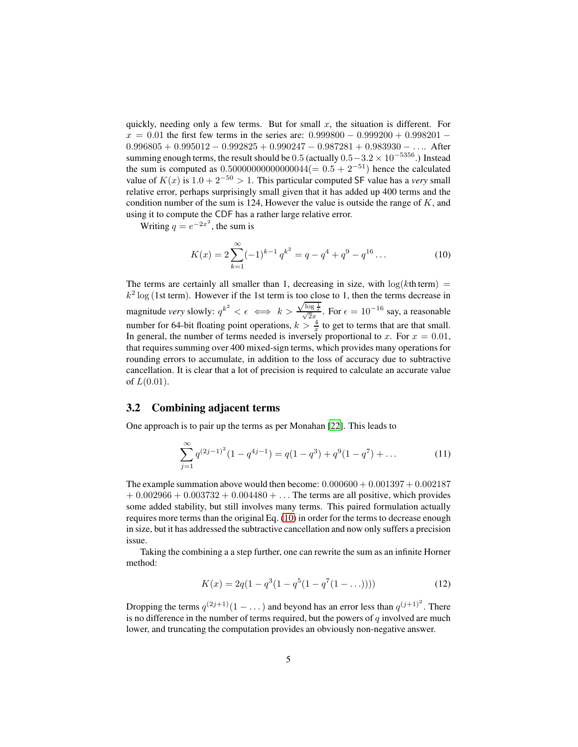quickly, needing only a few terms. But for small  $x$ , the situation is different. For  $x = 0.01$  the first few terms in the series are:  $0.999800 - 0.999200 + 0.998201 0.996805 + 0.995012 - 0.992825 + 0.990247 - 0.987281 + 0.983930 - \dots$  After summing enough terms, the result should be  $0.5$  (actually  $0.5-3.2 \times 10^{-5356}$ .) Instead the sum is computed as  $0.5000000000000004(= 0.5 + 2^{-51})$  hence the calculated value of  $K(x)$  is  $1.0 + 2^{-50} > 1$ . This particular computed SF value has a *very* small relative error, perhaps surprisingly small given that it has added up 400 terms and the condition number of the sum is 124, However the value is outside the range of  $K$ , and using it to compute the CDF has a rather large relative error.

Writing  $q = e^{-2x^2}$ , the sum is

<span id="page-4-0"></span>
$$
K(x) = 2\sum_{k=1}^{\infty} (-1)^{k-1} q^{k^2} = q - q^4 + q^9 - q^{16} \dots
$$
 (10)

The terms are certainly all smaller than 1, decreasing in size, with  $\log(k\text{th term})$  =  $k^2$  log (1st term). However if the 1st term is too close to 1, then the terms decrease in magnitude *very* slowly:  $q^{k^2} < \epsilon \iff k >$  $\frac{\sqrt{\log \frac{1}{\epsilon}}}{\sqrt{2x}}$ . For  $\epsilon = 10^{-16}$  say, a reasonable number for 64-bit floating point operations,  $k > \frac{4}{x}$  to get to terms that are that small. In general, the number of terms needed is inversely proportional to x. For  $x = 0.01$ , that requires summing over 400 mixed-sign terms, which provides many operations for rounding errors to accumulate, in addition to the loss of accuracy due to subtractive cancellation. It is clear that a lot of precision is required to calculate an accurate value of  $L(0.01)$ .

### 3.2 Combining adjacent terms

One approach is to pair up the terms as per Monahan [\[22](#page-19-10)]. This leads to

$$
\sum_{j=1}^{\infty} q^{(2j-1)^2} (1 - q^{4j-1}) = q(1 - q^3) + q^9 (1 - q^7) + \dots
$$
 (11)

The example summation above would then become:  $0.000600 + 0.001397 + 0.002187$  $+ 0.002966 + 0.003732 + 0.004480 + \ldots$  The terms are all positive, which provides some added stability, but still involves many terms. This paired formulation actually requires more terms than the original Eq. [\(10\)](#page-4-0) in order for the terms to decrease enough in size, but it has addressed the subtractive cancellation and now only suffers a precision issue.

Taking the combining a a step further, one can rewrite the sum as an infinite Horner method:

$$
K(x) = 2q(1 - q^{3}(1 - q^{5}(1 - q^{7}(1 - ...))))
$$
\n(12)

Dropping the terms  $q^{(2j+1)}(1-\dots)$  and beyond has an error less than  $q^{(j+1)^2}$ . There is no difference in the number of terms required, but the powers of  $q$  involved are much lower, and truncating the computation provides an obviously non-negative answer.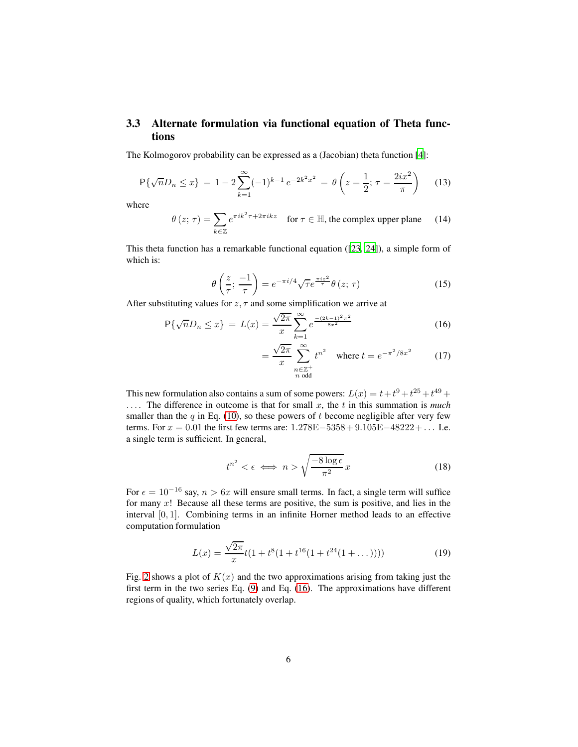### 3.3 Alternate formulation via functional equation of Theta functions

The Kolmogorov probability can be expressed as a (Jacobian) theta function [\[4](#page-18-3)]:

$$
\mathsf{P}\{\sqrt{n}D_n \le x\} = 1 - 2\sum_{k=1}^{\infty} (-1)^{k-1} e^{-2k^2 x^2} = \theta\left(z = \frac{1}{2}; \tau = \frac{2ix^2}{\pi}\right) \tag{13}
$$

where

$$
\theta(z;\,\tau) = \sum_{k\in\mathbb{Z}} e^{\pi i k^2 \tau + 2\pi i k z} \quad \text{for } \tau \in \mathbb{H}, \text{ the complex upper plane} \tag{14}
$$

This theta function has a remarkable functional equation ([\[23,](#page-19-11) [24\]](#page-19-12)), a simple form of which is:

$$
\theta\left(\frac{z}{\tau};\,\frac{-1}{\tau}\right) = e^{-\pi i/4}\sqrt{\tau}e^{\frac{\pi iz^2}{\tau}}\theta\left(z;\,\tau\right) \tag{15}
$$

After substituting values for  $z, \tau$  and some simplification we arrive at

$$
\mathsf{P}\{\sqrt{n}D_n \le x\} = L(x) = \frac{\sqrt{2\pi}}{x} \sum_{k=1}^{\infty} e^{\frac{-(2k-1)^2 \pi^2}{8x^2}} \tag{16}
$$

<span id="page-5-0"></span>
$$
= \frac{\sqrt{2\pi}}{x} \sum_{\substack{n \in \mathbb{Z}^+\\ n \text{ odd}}}^{\infty} t^{n^2} \quad \text{where } t = e^{-\pi^2/8x^2} \tag{17}
$$

This new formulation also contains a sum of some powers:  $L(x) = t + t^9 + t^{25} + t^{49} +$ . . . . The difference in outcome is that for small x, the t in this summation is *much* smaller than the  $q$  in Eq. [\(10\)](#page-4-0), so these powers of  $t$  become negligible after very few terms. For  $x = 0.01$  the first few terms are:  $1.278E - 5358 + 9.105E - 48222 + ...$  I.e. a single term is sufficient. In general,

<span id="page-5-1"></span>
$$
t^{n^2} < \epsilon \iff n > \sqrt{\frac{-8\log\epsilon}{\pi^2}}x\tag{18}
$$

For  $\epsilon = 10^{-16}$  say,  $n > 6x$  will ensure small terms. In fact, a single term will suffice for many  $x!$  Because all these terms are positive, the sum is positive, and lies in the interval [0, 1]. Combining terms in an infinite Horner method leads to an effective computation formulation

$$
L(x) = \frac{\sqrt{2\pi}}{x}t(1 + t^8(1 + t^{16}(1 + t^{24}(1 + \dots))))
$$
 (19)

Fig. [2](#page-6-0) shows a plot of  $K(x)$  and the two approximations arising from taking just the first term in the two series Eq. [\(9\)](#page-3-1) and Eq. [\(16\)](#page-5-0). The approximations have different regions of quality, which fortunately overlap.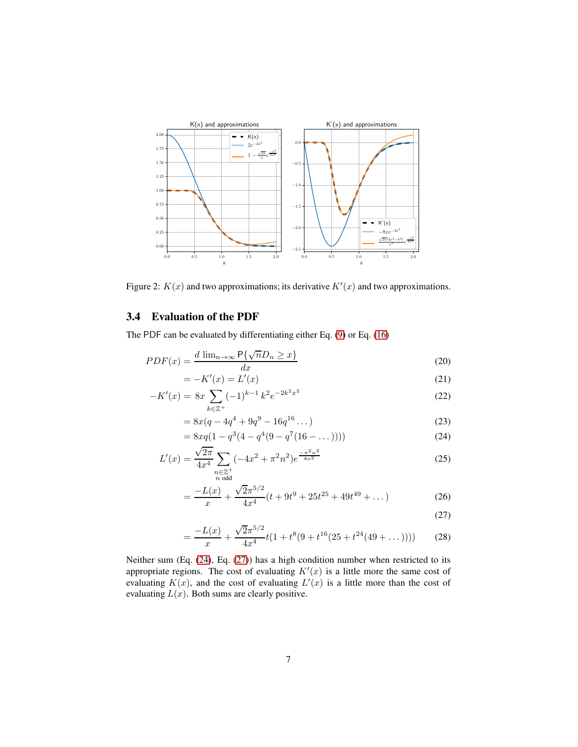

<span id="page-6-0"></span>Figure 2:  $K(x)$  and two approximations; its derivative  $K'(x)$  and two approximations.

### 3.4 Evaluation of the PDF

The PDF can be evaluated by differentiating either Eq. [\(9\)](#page-3-1) or Eq. [\(16\)](#page-5-0)

$$
PDF(x) = \frac{d \lim_{n \to \infty} \mathsf{P}\{\sqrt{n}D_n \ge x\}}{dx}
$$
\n(20)

$$
= -K'(x) = L'(x)
$$
 (21)

$$
-K'(x) = 8x \sum_{k \in \mathbb{Z}^+} (-1)^{k-1} k^2 e^{-2k^2 x^2}
$$
 (22)

$$
=8x(q - 4q^{4} + 9q^{9} - 16q^{16}...)
$$
\n(23)

$$
= 8xq(1 - q^{3}(4 - q^{4}(9 - q^{7}(16 - ...))))
$$
\n(24)

$$
L'(x) = \frac{\sqrt{2\pi}}{4x^4} \sum_{\substack{n \in \mathbb{Z}^+\\ n \text{ odd}}} (-4x^2 + \pi^2 n^2) e^{\frac{-\pi^2 n^2}{8x^2}}
$$
(25)

$$
=\frac{-L(x)}{x} + \frac{\sqrt{2}\pi^{5/2}}{4x^4}(t+9t^9+25t^{25}+49t^{49}+\dots)
$$
 (26)

<span id="page-6-2"></span><span id="page-6-1"></span>
$$
(27)
$$

$$
=\frac{-L(x)}{x} + \frac{\sqrt{2}\pi^{5/2}}{4x^4}t(1+t^8(9+t^{16}(25+t^{24}(49+\dots))))\tag{28}
$$

Neither sum (Eq. [\(24\)](#page-6-1), Eq. [\(27\)](#page-6-2)) has a high condition number when restricted to its appropriate regions. The cost of evaluating  $K'(x)$  is a little more the same cost of evaluating  $K(x)$ , and the cost of evaluating  $L'(x)$  is a little more than the cost of evaluating  $L(x)$ . Both sums are clearly positive.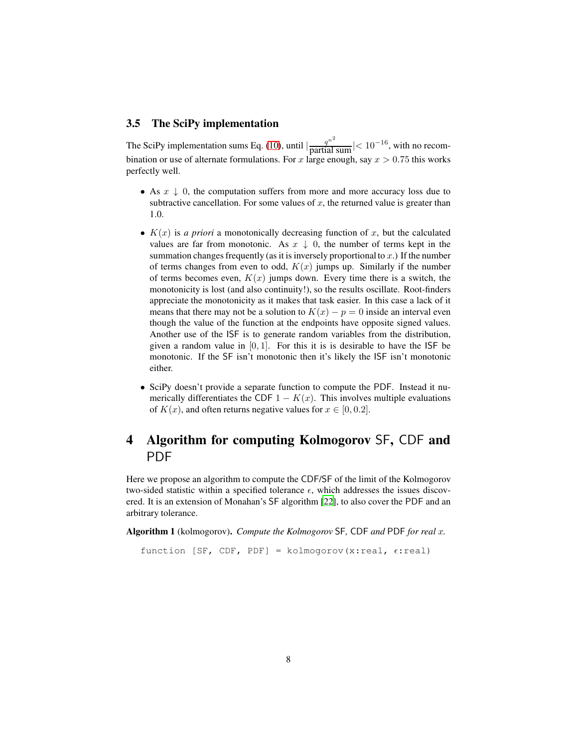### 3.5 The SciPy implementation

The SciPy implementation sums Eq. [\(10\)](#page-4-0), until  $\left|\frac{q^{n^2}}{\text{partial sum}}\right| < 10^{-16}$ , with no recombination or use of alternate formulations. For x large enough, say  $x > 0.75$  this works perfectly well.

- As  $x \downarrow 0$ , the computation suffers from more and more accuracy loss due to subtractive cancellation. For some values of  $x$ , the returned value is greater than 1.0.
- $K(x)$  is *a priori* a monotonically decreasing function of x, but the calculated values are far from monotonic. As  $x \downarrow 0$ , the number of terms kept in the summation changes frequently (as it is inversely proportional to  $x$ .) If the number of terms changes from even to odd,  $K(x)$  jumps up. Similarly if the number of terms becomes even,  $K(x)$  jumps down. Every time there is a switch, the monotonicity is lost (and also continuity!), so the results oscillate. Root-finders appreciate the monotonicity as it makes that task easier. In this case a lack of it means that there may not be a solution to  $K(x) - p = 0$  inside an interval even though the value of the function at the endpoints have opposite signed values. Another use of the ISF is to generate random variables from the distribution, given a random value in  $[0, 1]$ . For this it is is desirable to have the ISF be monotonic. If the SF isn't monotonic then it's likely the ISF isn't monotonic either.
- SciPy doesn't provide a separate function to compute the PDF. Instead it numerically differentiates the CDF  $1 - K(x)$ . This involves multiple evaluations of  $K(x)$ , and often returns negative values for  $x \in [0, 0.2]$ .

# <span id="page-7-0"></span>4 Algorithm for computing Kolmogorov SF, CDF and PDF

Here we propose an algorithm to compute the CDF/SF of the limit of the Kolmogorov two-sided statistic within a specified tolerance  $\epsilon$ , which addresses the issues discovered. It is an extension of Monahan's SF algorithm [\[22](#page-19-10)], to also cover the PDF and an arbitrary tolerance.

Algorithm 1 (kolmogorov). *Compute the Kolmogorov* SF*,* CDF *and* PDF *for real* x*.*

function [SF, CDF, PDF] = kolmogorov(x:real,  $\epsilon$ :real)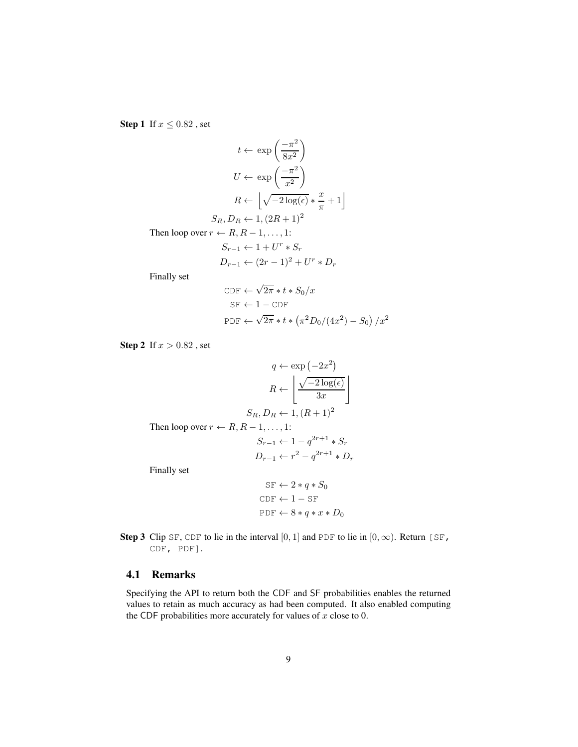<span id="page-8-0"></span>**Step 1** If  $x \le 0.82$ , set

$$
t \leftarrow \exp\left(\frac{-\pi^2}{8x^2}\right)
$$

$$
U \leftarrow \exp\left(\frac{-\pi^2}{x^2}\right)
$$

$$
R \leftarrow \left\lfloor\sqrt{-2\log(\epsilon)} * \frac{x}{\pi} + 1\right\rfloor
$$

$$
S_R, D_R \leftarrow 1, (2R + 1)^2
$$
Then loop over  $r \leftarrow R, R - 1, ..., 1$ :

 $S_{r-1} \leftarrow 1 + U^r * S_r$ 

 $D_{r-1} \leftarrow (2r-1)^2 + U^r * D_r$ 

Finally set

$$
\begin{aligned} \text{CDF} &\leftarrow \sqrt{2\pi} * t * S_0 / x \\ \text{SF} &\leftarrow 1 - \text{CDF} \\ \text{PDF} &\leftarrow \sqrt{2\pi} * t * \left(\pi^2 D_0 / (4x^2) - S_0\right) / x^2 \end{aligned}
$$

<span id="page-8-1"></span>**Step 2** If  $x > 0.82$ , set

$$
q \leftarrow \exp(-2x^2)
$$

$$
R \leftarrow \left\lfloor \frac{\sqrt{-2\log(\epsilon)}}{3x} \right\rfloor
$$

$$
S_R, D_R \leftarrow 1, (R+1)^2
$$
Then loop over  $r \leftarrow R, R-1, \ldots, 1$ :
$$
S_{r-1} \leftarrow 1 - q^{2r+1} * S_r
$$

$$
D_{r-1} \leftarrow r^2 - q^{2r+1} * D_r
$$
Finally set

Finally set

$$
SF \leftarrow 2 * q * S_0
$$
  
CDF \leftarrow 1 - SF  
PDF \leftarrow 8 \* q \* x \* D\_0

**Step 3** Clip SF, CDF to lie in the interval [0, 1] and PDF to lie in [0,  $\infty$ ). Return [SF, CDF, PDF].

### 4.1 Remarks

Specifying the API to return both the CDF and SF probabilities enables the returned values to retain as much accuracy as had been computed. It also enabled computing the CDF probabilities more accurately for values of  $x$  close to 0.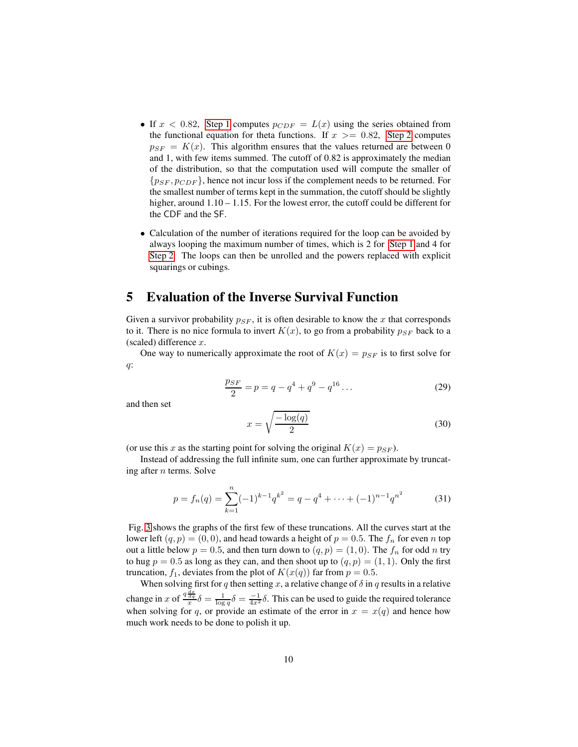- If  $x < 0.82$ , [Step 1](#page-8-0) computes  $p_{CDF} = L(x)$  using the series obtained from the functional equation for theta functions. If  $x \ge 0.82$ , [Step 2](#page-8-1) computes  $p_{SF} = K(x)$ . This algorithm ensures that the values returned are between 0 and 1, with few items summed. The cutoff of 0.82 is approximately the median of the distribution, so that the computation used will compute the smaller of  ${p_{SF}, p_{CDF}}$ , hence not incur loss if the complement needs to be returned. For the smallest number of terms kept in the summation, the cutoff should be slightly higher, around  $1.10 - 1.15$ . For the lowest error, the cutoff could be different for the CDF and the SF.
- Calculation of the number of iterations required for the loop can be avoided by always looping the maximum number of times, which is 2 for [Step 1](#page-8-0) and 4 for [Step 2.](#page-8-1) The loops can then be unrolled and the powers replaced with explicit squarings or cubings.

### <span id="page-9-0"></span>5 Evaluation of the Inverse Survival Function

Given a survivor probability  $p_{SF}$ , it is often desirable to know the x that corresponds to it. There is no nice formula to invert  $K(x)$ , to go from a probability  $p_{SF}$  back to a (scaled) difference  $x$ .

One way to numerically approximate the root of  $K(x) = p_{SF}$  is to first solve for q:

$$
\frac{p_{SF}}{2} = p = q - q^4 + q^9 - q^{16} \dots \tag{29}
$$

and then set

$$
x = \sqrt{\frac{-\log(q)}{2}}\tag{30}
$$

(or use this x as the starting point for solving the original  $K(x) = p_{SF}$ ).

Instead of addressing the full infinite sum, one can further approximate by truncating after  $n$  terms. Solve

$$
p = f_n(q) = \sum_{k=1}^n (-1)^{k-1} q^{k^2} = q - q^4 + \dots + (-1)^{n-1} q^{n^2}
$$
 (31)

Fig. [3](#page-10-0) shows the graphs of the first few of these truncations. All the curves start at the lower left  $(q, p) = (0, 0)$ , and head towards a height of  $p = 0.5$ . The  $f_n$  for even n top out a little below  $p = 0.5$ , and then turn down to  $(q, p) = (1, 0)$ . The  $f_n$  for odd n try to hug  $p = 0.5$  as long as they can, and then shoot up to  $(q, p) = (1, 1)$ . Only the first truncation,  $f_1$ , deviates from the plot of  $K(x(q))$  far from  $p = 0.5$ .

When solving first for q then setting x, a relative change of  $\delta$  in q results in a relative change in x of  $\frac{q\frac{dx}{dq}}{x} \delta = \frac{1}{\log q} \delta = \frac{-1}{4x^2} \delta$ . This can be used to guide the required tolerance when solving for q, or provide an estimate of the error in  $x = x(q)$  and hence how much work needs to be done to polish it up.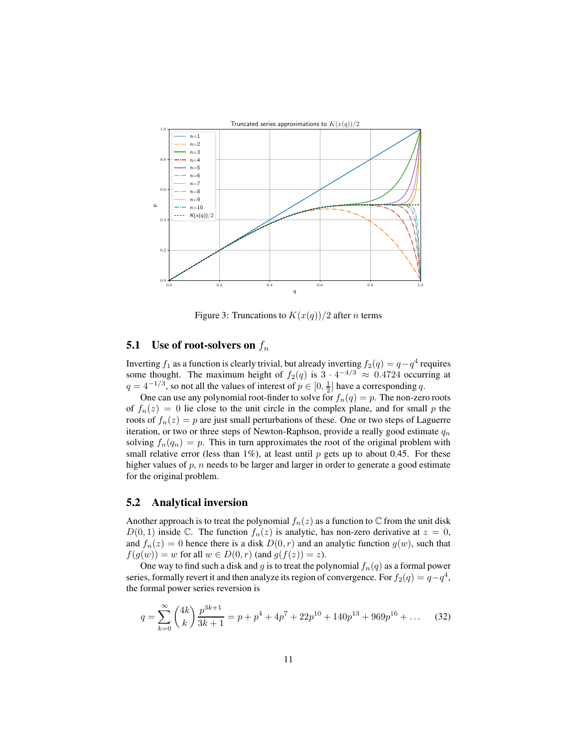

<span id="page-10-0"></span>Figure 3: Truncations to  $K(x(q))/2$  after *n* terms

# 5.1 Use of root-solvers on  $f_n$

Inverting  $f_1$  as a function is clearly trivial, but already inverting  $f_2(q) = q - q^4$  requires some thought. The maximum height of  $f_2(q)$  is  $3 \cdot 4^{-4/3} \approx 0.4724$  occurring at  $q = 4^{-1/3}$ , so not all the values of interest of  $p \in [0, \frac{1}{2}]$  have a corresponding q.

One can use any polynomial root-finder to solve for  $f_n(q) = p$ . The non-zero roots of  $f_n(z) = 0$  lie close to the unit circle in the complex plane, and for small p the roots of  $f_n(z) = p$  are just small perturbations of these. One or two steps of Laguerre iteration, or two or three steps of Newton-Raphson, provide a really good estimate  $q_n$ solving  $f_n(q_n) = p$ . This in turn approximates the root of the original problem with small relative error (less than 1%), at least until  $p$  gets up to about 0.45. For these higher values of  $p$ ,  $n$  needs to be larger and larger in order to generate a good estimate for the original problem.

### 5.2 Analytical inversion

Another approach is to treat the polynomial  $f_n(z)$  as a function to  $\mathbb C$  from the unit disk  $D(0, 1)$  inside C. The function  $f_n(z)$  is analytic, has non-zero derivative at  $z = 0$ , and  $f_n(z) = 0$  hence there is a disk  $D(0, r)$  and an analytic function  $g(w)$ , such that  $f(g(w)) = w$  for all  $w \in D(0, r)$  (and  $g(f(z)) = z$ ).

One way to find such a disk and g is to treat the polynomial  $f_n(q)$  as a formal power series, formally revert it and then analyze its region of convergence. For  $f_2(q) = q - q^4$ , the formal power series reversion is

<span id="page-10-1"></span>
$$
q = \sum_{k=0}^{\infty} {4k \choose k} \frac{p^{3k+1}}{3k+1} = p + p^4 + 4p^7 + 22p^{10} + 140p^{13} + 969p^{16} + \dots
$$
 (32)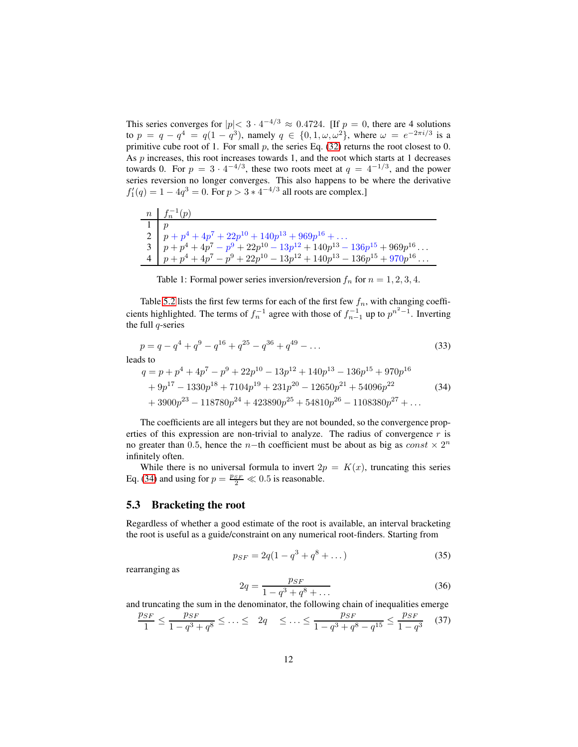This series converges for  $|p| < 3 \cdot 4^{-4/3} \approx 0.4724$ . [If  $p = 0$ , there are 4 solutions to  $p = q - q^4 = q(1 - q^3)$ , namely  $q \in \{0, 1, \omega, \omega^2\}$ , where  $\omega = e^{-2\pi i/3}$  is a primitive cube root of 1. For small  $p$ , the series Eq. [\(32\)](#page-10-1) returns the root closest to 0. As p increases, this root increases towards 1, and the root which starts at 1 decreases towards 0. For  $p = 3 \cdot 4^{-4/3}$ , these two roots meet at  $q = 4^{-1/3}$ , and the power series reversion no longer converges. This also happens to be where the derivative  $f'_1(q) = 1 - 4q^3 = 0$ . For  $p > 3 * 4^{-4/3}$  all roots are complex.]

| $n \quad f_n^{-1}(p)$                                                |
|----------------------------------------------------------------------|
|                                                                      |
| 2 $\mid p+p^4+4p^7+22p^{10}+140p^{13}+969p^{16}+\ldots$              |
| $3   p+p^4+4p^7-p^9+22p^{10}-13p^{12}+140p^{13}-136p^{15}+969p^{16}$ |
| 4   $p+p^4+4p^7-p^9+22p^{10}-13p^{12}+140p^{13}-136p^{15}+970p^{16}$ |

Table 1: Formal power series inversion/reversion  $f_n$  for  $n = 1, 2, 3, 4$ .

Table [5.2](#page-10-1) lists the first few terms for each of the first few  $f_n$ , with changing coefficients highlighted. The terms of  $f_n^{-1}$  agree with those of  $f_{n-1}^{-1}$  up to  $p^{n^2-1}$ . Inverting the full  $q$ -series

$$
p = q - q^{4} + q^{9} - q^{16} + q^{25} - q^{36} + q^{49} - \dots
$$
\n
$$
leads to
$$
\n(33)

$$
q = p + p4 + 4p7 - p9 + 22p10 - 13p12 + 140p13 - 136p15 + 970p16
$$
  
+ 9p<sup>17</sup> - 1330p<sup>18</sup> + 7104p<sup>19</sup> + 231p<sup>20</sup> - 12650p<sup>21</sup> + 54096p<sup>22</sup>  
+ 3900p<sup>23</sup> - 118780p<sup>24</sup> + 423890p<sup>25</sup> + 54810p<sup>26</sup> - 1108380p<sup>27</sup> + ...

The coefficients are all integers but they are not bounded, so the convergence properties of this expression are non-trivial to analyze. The radius of convergence  $r$  is no greater than 0.5, hence the *n*−th coefficient must be about as big as  $const \times 2^n$ infinitely often.

While there is no universal formula to invert  $2p = K(x)$ , truncating this series Eq. [\(34\)](#page-11-0) and using for  $p = \frac{p_{SF}}{2} \ll 0.5$  is reasonable.

#### 5.3 Bracketing the root

Regardless of whether a good estimate of the root is available, an interval bracketing the root is useful as a guide/constraint on any numerical root-finders. Starting from

<span id="page-11-0"></span>
$$
p_{SF} = 2q(1 - q^3 + q^8 + \dots)
$$
 (35)

rearranging as

<span id="page-11-1"></span>
$$
2q = \frac{p_{SF}}{1 - q^3 + q^8 + \dots} \tag{36}
$$

and truncating the sum in the denominator, the following chain of inequalities emerge

$$
\frac{p_{SF}}{1} \le \frac{p_{SF}}{1 - q^3 + q^8} \le \dots \le 2q \quad \le \dots \le \frac{p_{SF}}{1 - q^3 + q^8 - q^{15}} \le \frac{p_{SF}}{1 - q^3} \tag{37}
$$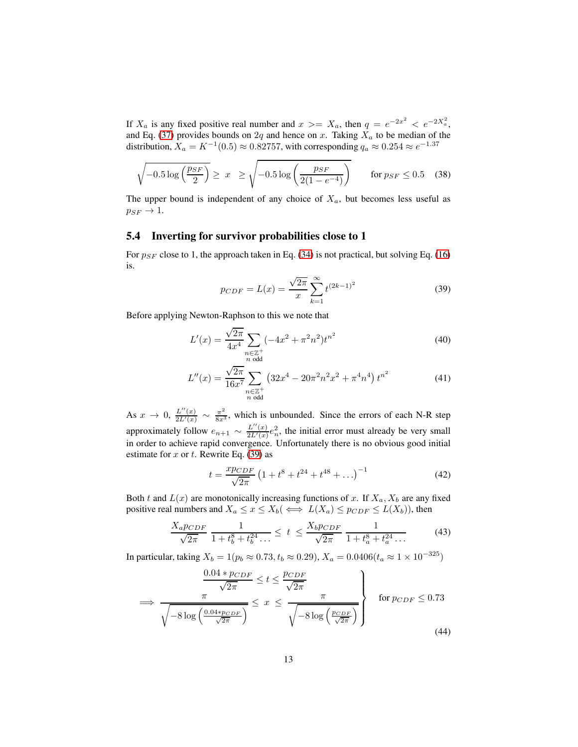If  $X_a$  is any fixed positive real number and  $x \geq X_a$ , then  $q = e^{-2x^2} < e^{-2X_a^2}$ , and Eq. [\(37\)](#page-11-1) provides bounds on 2q and hence on x. Taking  $X_a$  to be median of the distribution,  $X_a = K^{-1}(0.5) \approx 0.82757$ , with corresponding  $q_a \approx 0.254 \approx e^{-1.37}$ 

$$
\sqrt{-0.5\log\left(\frac{p_{SF}}{2}\right)} \geq x \geq \sqrt{-0.5\log\left(\frac{p_{SF}}{2(1-e^{-4})}\right)} \quad \text{for } p_{SF} \leq 0.5 \quad (38)
$$

The upper bound is independent of any choice of  $X_a$ , but becomes less useful as  $p_{SF} \rightarrow 1.$ 

#### 5.4 Inverting for survivor probabilities close to 1

For  $p_{SF}$  close to 1, the approach taken in Eq. [\(34\)](#page-11-0) is not practical, but solving Eq. [\(16\)](#page-5-0) is.

<span id="page-12-0"></span>
$$
p_{CDF} = L(x) = \frac{\sqrt{2\pi}}{x} \sum_{k=1}^{\infty} t^{(2k-1)^2}
$$
 (39)

Before applying Newton-Raphson to this we note that

$$
L'(x) = \frac{\sqrt{2\pi}}{4x^4} \sum_{\substack{n \in \mathbb{Z}^+\\ n \text{ odd}}} (-4x^2 + \pi^2 n^2) t^{n^2}
$$
 (40)

$$
L''(x) = \frac{\sqrt{2\pi}}{16x^7} \sum_{\substack{n \in \mathbb{Z}^+\\ n \text{ odd}}} \left( 32x^4 - 20\pi^2 n^2 x^2 + \pi^4 n^4 \right) t^{n^2}
$$
(41)

As  $x \to 0, \frac{L''(x)}{2L'(x)}$  $\frac{L''(x)}{2L'(x)} \sim \frac{\pi^2}{8x^3}$ , which is unbounded. Since the errors of each N-R step approximately follow  $e_{n+1} \sim \frac{L''(x)}{2L'(x)}$  $\frac{L''(x)}{2L'(x)}e_n^2$ , the initial error must already be very small in order to achieve rapid convergence. Unfortunately there is no obvious good initial estimate for  $x$  or  $t$ . Rewrite Eq. [\(39\)](#page-12-0) as

$$
t = \frac{x p_{CDF}}{\sqrt{2\pi}} \left( 1 + t^8 + t^{24} + t^{48} + \ldots \right)^{-1}
$$
 (42)

Both t and  $L(x)$  are monotonically increasing functions of x. If  $X_a, X_b$  are any fixed positive real numbers and  $X_a \le x \le X_b$   $(\iff L(X_a) \le p_{CDF} \le L(X_b))$ , then

$$
\frac{X_a p_{CDF}}{\sqrt{2\pi}} \frac{1}{1 + t_b^8 + t_b^{24} \dots} \le t \le \frac{X_b p_{CDF}}{\sqrt{2\pi}} \frac{1}{1 + t_a^8 + t_a^{24} \dots} \tag{43}
$$

In particular, taking  $X_b = 1(p_b \approx 0.73, t_b \approx 0.29), X_a = 0.0406(t_a \approx 1 \times 10^{-325})$ 

<span id="page-12-1"></span>
$$
\frac{0.04 * p_{CDF}}{\sqrt{2\pi}} \le t \le \frac{p_{CDF}}{\sqrt{2\pi}}
$$
\n
$$
\Rightarrow \frac{\pi}{\sqrt{-8 \log\left(\frac{0.04 * p_{CDF}}{\sqrt{2\pi}}\right)}} \le x \le \frac{\pi}{\sqrt{-8 \log\left(\frac{p_{CDF}}{\sqrt{2\pi}}\right)}} \qquad \text{for } p_{CDF} \le 0.73
$$
\n(44)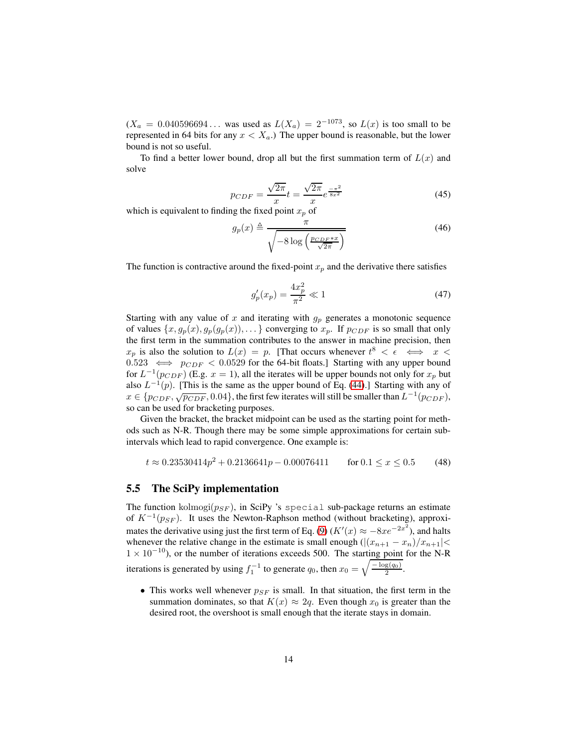$(X_a = 0.040596694...$  was used as  $L(X_a) = 2^{-1073}$ , so  $L(x)$  is too small to be represented in 64 bits for any  $x < X_a$ .) The upper bound is reasonable, but the lower bound is not so useful.

To find a better lower bound, drop all but the first summation term of  $L(x)$  and solve

$$
p_{CDF} = \frac{\sqrt{2\pi}}{x}t = \frac{\sqrt{2\pi}}{x}e^{\frac{-\pi^2}{8x^2}}
$$
(45)

which is equivalent to finding the fixed point  $x_p$  of

$$
g_p(x) \triangleq \frac{\pi}{\sqrt{-8\log\left(\frac{p_{CDF}*x}{\sqrt{2\pi}}\right)}}
$$
(46)

The function is contractive around the fixed-point  $x_p$  and the derivative there satisfies

<span id="page-13-2"></span><span id="page-13-0"></span>
$$
g_p'(x_p) = \frac{4x_p^2}{\pi^2} \ll 1
$$
\n(47)

Starting with any value of x and iterating with  $g_p$  generates a monotonic sequence of values  $\{x, g_p(x), g_p(g_p(x)), \ldots\}$  converging to  $x_p$ . If  $p_{CDF}$  is so small that only the first term in the summation contributes to the answer in machine precision, then  $x_p$  is also the solution to  $L(x) = p$ . [That occurs whenever  $t^8 < \epsilon \iff x <$  $0.523 \iff p_{CDF} < 0.0529$  for the 64-bit floats.] Starting with any upper bound for  $L^{-1}(p_{CDF})$  (E.g.  $x = 1$ ), all the iterates will be upper bounds not only for  $x_p$  but also  $L^{-1}(p)$ . [This is the same as the upper bound of Eq. [\(44\)](#page-12-1).] Starting with any of  $x \in \{p_{CDF}, \sqrt{p_{CDF}}, 0.04\}$ , the first few iterates will still be smaller than  $L^{-1}(p_{CDF})$ , so can be used for bracketing purposes.

Given the bracket, the bracket midpoint can be used as the starting point for methods such as N-R. Though there may be some simple approximations for certain subintervals which lead to rapid convergence. One example is:

$$
t \approx 0.23530414p^2 + 0.2136641p - 0.00076411 \qquad \text{for } 0.1 \le x \le 0.5 \tag{48}
$$

#### <span id="page-13-1"></span>5.5 The SciPy implementation

The function kolmogi $(p_{SF})$ , in SciPy 's special sub-package returns an estimate of  $K^{-1}(p_{SF})$ . It uses the Newton-Raphson method (without bracketing), approxi-mates the derivative using just the first term of Eq. [\(9\)](#page-3-1) ( $K'(x) \approx -8xe^{-2x^2}$ ), and halts whenever the relative change in the estimate is small enough  $(|(x_{n+1} - x_n)/x_{n+1}| <$  $1 \times 10^{-10}$ ), or the number of iterations exceeds 500. The starting point for the N-R iterations is generated by using  $f_1^{-1}$  to generate  $q_0$ , then  $x_0 = \sqrt{\frac{-\log(q_0)}{2}}$ .

• This works well whenever  $p_{SF}$  is small. In that situation, the first term in the summation dominates, so that  $K(x) \approx 2q$ . Even though  $x_0$  is greater than the desired root, the overshoot is small enough that the iterate stays in domain.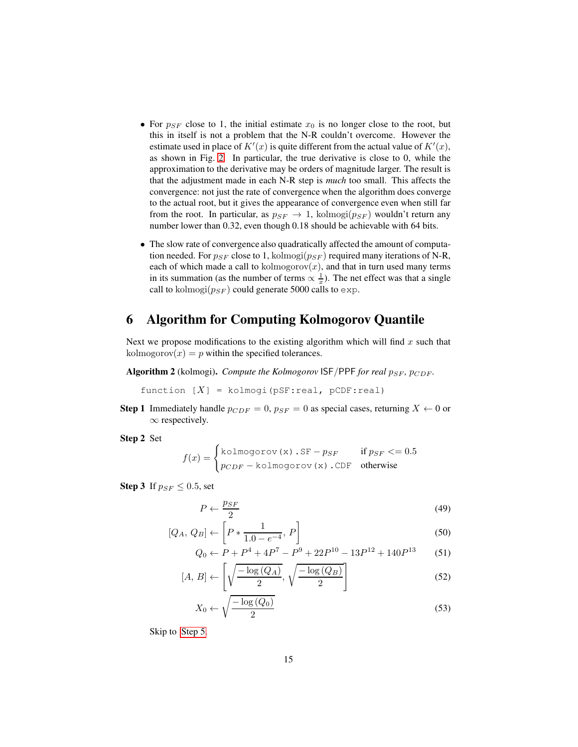- For  $p_{SF}$  close to 1, the initial estimate  $x_0$  is no longer close to the root, but this in itself is not a problem that the N-R couldn't overcome. However the estimate used in place of  $K'(x)$  is quite different from the actual value of  $K'(x)$ , as shown in Fig. [2.](#page-6-0) In particular, the true derivative is close to 0, while the approximation to the derivative may be orders of magnitude larger. The result is that the adjustment made in each N-R step is *much* too small. This affects the convergence: not just the rate of convergence when the algorithm does converge to the actual root, but it gives the appearance of convergence even when still far from the root. In particular, as  $p_{SF} \rightarrow 1$ , kolmogi $(p_{SF})$  wouldn't return any number lower than 0.32, even though 0.18 should be achievable with 64 bits.
- The slow rate of convergence also quadratically affected the amount of computation needed. For  $p_{SF}$  close to 1, kolmogi $(p_{SF})$  required many iterations of N-R, each of which made a call to kolmogorov $(x)$ , and that in turn used many terms in its summation (as the number of terms  $\propto \frac{1}{x}$ ). The net effect was that a single call to kolmogi $(p_{SF})$  could generate 5000 calls to exp.

# <span id="page-14-0"></span>6 Algorithm for Computing Kolmogorov Quantile

Next we propose modifications to the existing algorithm which will find  $x$  such that kolmogorov $(x) = p$  within the specified tolerances.

<span id="page-14-1"></span>Algorithm 2 (kolmogi). *Compute the Kolmogorov* ISF/PPF *for real*  $p_{SF}$ ,  $p_{CDF}$ .

function  $[X]$  = kolmogi(pSF:real, pCDF:real)

**Step 1** Immediately handle  $p_{CDF} = 0$ ,  $p_{SF} = 0$  as special cases, returning  $X \leftarrow 0$  or  $\infty$  respectively.

<span id="page-14-2"></span>Step 2 Set

$$
f(x) = \begin{cases} \text{kolmogorov}(x) . \text{SF} - p_{SF} & \text{if } p_{SF} <= 0.5\\ p_{CDF} - \text{kolmogorov}(x) . \text{CDF} & \text{otherwise} \end{cases}
$$

<span id="page-14-3"></span>**Step 3** If  $p_{SF} \leq 0.5$ , set

$$
P \leftarrow \frac{p_{SF}}{2} \tag{49}
$$

$$
[Q_A, Q_B] \leftarrow \left[ P * \frac{1}{1.0 - e^{-4}}, P \right]
$$
 (50)

<span id="page-14-4"></span>
$$
Q_0 \leftarrow P + P^4 + 4P^7 - P^9 + 22P^{10} - 13P^{12} + 140P^{13} \tag{51}
$$

$$
[A, B] \leftarrow \left[ \sqrt{\frac{-\log\left(Q_A\right)}{2}}, \sqrt{\frac{-\log\left(Q_B\right)}{2}} \right] \tag{52}
$$

$$
X_0 \leftarrow \sqrt{\frac{-\log\left(Q_0\right)}{2}}\tag{53}
$$

Skip to [Step 5.](#page-15-0)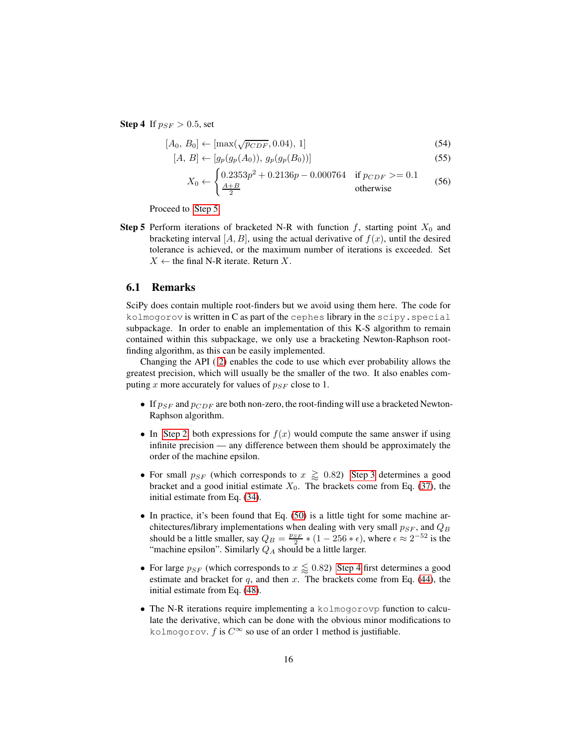<span id="page-15-1"></span>**Step 4** If  $p_{SF} > 0.5$ , set

$$
[A_0, B_0] \leftarrow [\max(\sqrt{p_{CDF}}, 0.04), 1] \tag{54}
$$

$$
[A, B] \leftarrow [g_p(g_p(A_0)), g_p(g_p(B_0))]
$$
\n(55)

$$
X_0 \leftarrow \begin{cases} 0.2353p^2 + 0.2136p - 0.000764 & \text{if } p_{CDF} > = 0.1\\ \frac{A+B}{2} & \text{otherwise} \end{cases}
$$
(56)

Proceed to [Step 5.](#page-15-0)

<span id="page-15-0"></span>**Step 5** Perform iterations of bracketed N-R with function  $f$ , starting point  $X_0$  and bracketing interval  $[A, B]$ , using the actual derivative of  $f(x)$ , until the desired tolerance is achieved, or the maximum number of iterations is exceeded. Set  $X \leftarrow$  the final N-R iterate. Return X.

#### 6.1 Remarks

SciPy does contain multiple root-finders but we avoid using them here. The code for kolmogorov is written in C as part of the cephes library in the scipy.special subpackage. In order to enable an implementation of this K-S algorithm to remain contained within this subpackage, we only use a bracketing Newton-Raphson rootfinding algorithm, as this can be easily implemented.

Changing the API ( [2\)](#page-14-1) enables the code to use which ever probability allows the greatest precision, which will usually be the smaller of the two. It also enables computing x more accurately for values of  $p_{SF}$  close to 1.

- If  $p_{SF}$  and  $p_{CDF}$  are both non-zero, the root-finding will use a bracketed Newton-Raphson algorithm.
- In [Step 2,](#page-14-2) both expressions for  $f(x)$  would compute the same answer if using infinite precision — any difference between them should be approximately the order of the machine epsilon.
- For small  $p_{SF}$  (which corresponds to  $x \gtrapprox 0.82$ ) [Step 3](#page-14-3) determines a good bracket and a good initial estimate  $X_0$ . The brackets come from Eq. [\(37\)](#page-11-1), the initial estimate from Eq. [\(34\)](#page-11-0).
- In practice, it's been found that Eq. [\(50\)](#page-14-4) is a little tight for some machine architectures/library implementations when dealing with very small  $p_{SF}$ , and  $Q_B$ should be a little smaller, say  $Q_B = \frac{p_{SF}}{2} * (1 - 256 * \epsilon)$ , where  $\epsilon \approx 2^{-52}$  is the "machine epsilon". Similarly  $Q_A$  should be a little larger.
- For large  $p_{SF}$  (which corresponds to  $x \lessapprox 0.82$ ) [Step 4](#page-15-1) first determines a good estimate and bracket for  $q$ , and then  $x$ . The brackets come from Eq. [\(44\)](#page-12-1), the initial estimate from Eq. [\(48\)](#page-13-0).
- The N-R iterations require implementing a kolmogorovp function to calculate the derivative, which can be done with the obvious minor modifications to kolmogorov. f is  $C^{\infty}$  so use of an order 1 method is justifiable.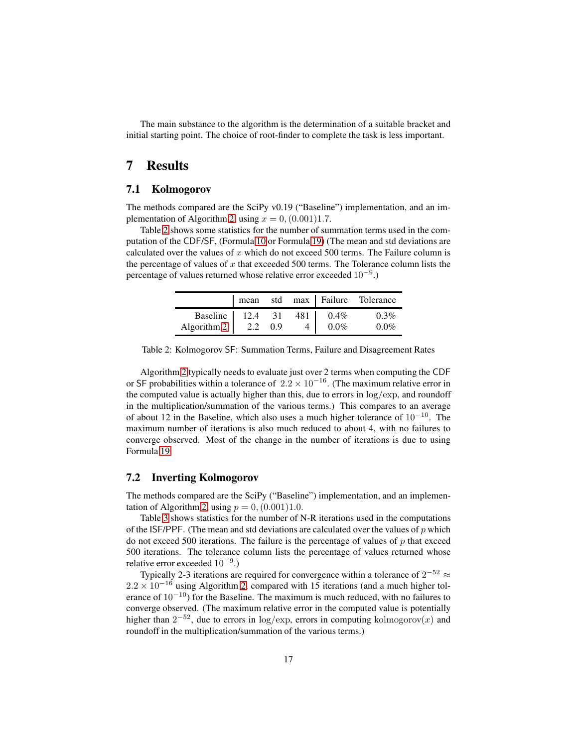The main substance to the algorithm is the determination of a suitable bracket and initial starting point. The choice of root-finder to complete the task is less important.

# <span id="page-16-0"></span>7 Results

### 7.1 Kolmogorov

The methods compared are the SciPy v0.19 ("Baseline") implementation, and an im-plementation of Algorithm [2,](#page-14-1) using  $x = 0$ ,  $(0.001)1.7$ .

Table [2](#page-16-1) shows some statistics for the number of summation terms used in the computation of the CDF/SF, (Formula [10](#page-4-0) or Formula [19\)](#page-5-1) (The mean and std deviations are calculated over the values of  $x$  which do not exceed 500 terms. The Failure column is the percentage of values of  $x$  that exceeded 500 terms. The Tolerance column lists the percentage of values returned whose relative error exceeded  $10^{-9}$ .)

|                                                       |  |                                                 |         | mean std max Failure Tolerance |
|-------------------------------------------------------|--|-------------------------------------------------|---------|--------------------------------|
| Baseline 12.4 31 481 0.4%                             |  |                                                 |         | $0.3\%$                        |
| Algorithm 2 $\begin{vmatrix} 2.2 & 0.9 \end{vmatrix}$ |  | $\left  \begin{array}{c} 4 \end{array} \right $ | $0.0\%$ | $0.0\%$                        |

<span id="page-16-1"></span>Table 2: Kolmogorov SF: Summation Terms, Failure and Disagreement Rates

Algorithm [2](#page-14-1) typically needs to evaluate just over 2 terms when computing the CDF or SF probabilities within a tolerance of  $2.2 \times 10^{-16}$ . (The maximum relative error in the computed value is actually higher than this, due to errors in  $\log / \exp$ , and roundoff in the multiplication/summation of the various terms.) This compares to an average of about 12 in the Baseline, which also uses a much higher tolerance of 10−<sup>10</sup>. The maximum number of iterations is also much reduced to about 4, with no failures to converge observed. Most of the change in the number of iterations is due to using Formula [19.](#page-5-1)

### 7.2 Inverting Kolmogorov

The methods compared are the SciPy ("Baseline") implementation, and an implemen-tation of Algorithm [2,](#page-14-1) using  $p = 0$ ,  $(0.001)1.0$ .

Table [3](#page-17-0) shows statistics for the number of N-R iterations used in the computations of the ISF/PPF. (The mean and std deviations are calculated over the values of  $p$  which do not exceed 500 iterations. The failure is the percentage of values of  $p$  that exceed 500 iterations. The tolerance column lists the percentage of values returned whose relative error exceeded 10<sup>-9</sup>.)

Typically 2-3 iterations are required for convergence within a tolerance of  $2^{-52} \approx$  $2.2 \times 10^{-16}$  using Algorithm [2,](#page-14-1) compared with 15 iterations (and a much higher tolerance of  $10^{-10}$ ) for the Baseline. The maximum is much reduced, with no failures to converge observed. (The maximum relative error in the computed value is potentially higher than  $2^{-52}$ , due to errors in log/exp, errors in computing kolmogorov $(x)$  and roundoff in the multiplication/summation of the various terms.)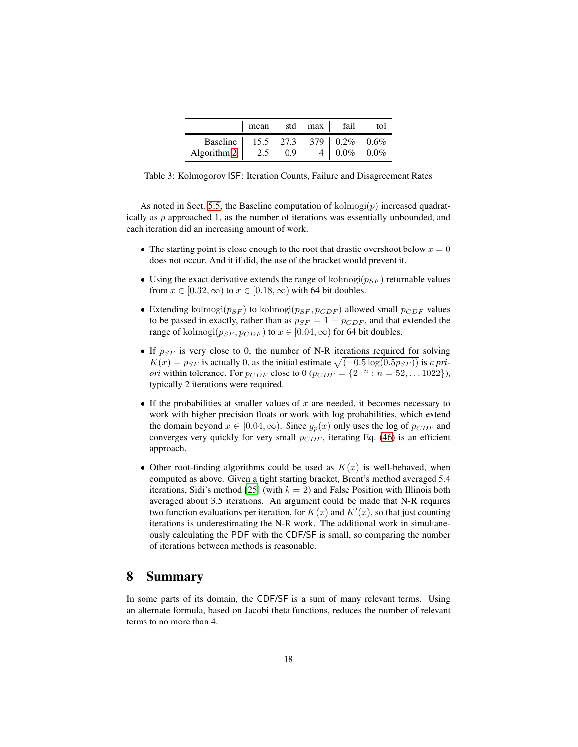|                                                                     | mean std max fail tol |  |  |
|---------------------------------------------------------------------|-----------------------|--|--|
| Baseline 15.5 27.3 379 0.2% 0.6%<br>Algorithm 2 2.5 0.9 4 0.0% 0.0% |                       |  |  |
|                                                                     |                       |  |  |

<span id="page-17-0"></span>Table 3: Kolmogorov ISF: Iteration Counts, Failure and Disagreement Rates

As noted in Sect. [5.5,](#page-13-1) the Baseline computation of  $\text{kolmogi}(p)$  increased quadratically as  $p$  approached 1, as the number of iterations was essentially unbounded, and each iteration did an increasing amount of work.

- The starting point is close enough to the root that drastic overshoot below  $x = 0$ does not occur. And it if did, the use of the bracket would prevent it.
- Using the exact derivative extends the range of kolmogi $(p_{SF})$  returnable values from  $x \in [0.32, \infty)$  to  $x \in [0.18, \infty)$  with 64 bit doubles.
- Extending kolmogi $(p_{SF})$  to kolmogi $(p_{SF}, p_{CDF})$  allowed small  $p_{CDF}$  values to be passed in exactly, rather than as  $p_{SF} = 1 - p_{CDF}$ , and that extended the range of kolmogi $(p_{SF}, p_{CDF})$  to  $x \in [0.04, \infty)$  for 64 bit doubles.
- If  $p_{SF}$  is very close to 0, the number of N-R iterations required for solving  $K(x) = p_{SF}$  is actually 0, as the initial estimate  $\sqrt{(-0.5 \log(0.5p_{SF}))}$  is *a priori* within tolerance. For  $p_{CDF}$  close to 0 ( $p_{CDF} = \{2^{-n} : n = 52, ... 1022\}$ ), typically 2 iterations were required.
- If the probabilities at smaller values of  $x$  are needed, it becomes necessary to work with higher precision floats or work with log probabilities, which extend the domain beyond  $x \in [0.04, \infty)$ . Since  $q_n(x)$  only uses the log of  $p_{CDF}$  and converges very quickly for very small  $p_{CDF}$ , iterating Eq. [\(46\)](#page-13-2) is an efficient approach.
- Other root-finding algorithms could be used as  $K(x)$  is well-behaved, when computed as above. Given a tight starting bracket, Brent's method averaged 5.4 iterations, Sidi's method [\[25](#page-19-13)] (with  $k = 2$ ) and False Position with Illinois both averaged about 3.5 iterations. An argument could be made that N-R requires two function evaluations per iteration, for  $K(x)$  and  $K'(x)$ , so that just counting iterations is underestimating the N-R work. The additional work in simultaneously calculating the PDF with the CDF/SF is small, so comparing the number of iterations between methods is reasonable.

### 8 Summary

In some parts of its domain, the CDF/SF is a sum of many relevant terms. Using an alternate formula, based on Jacobi theta functions, reduces the number of relevant terms to no more than 4.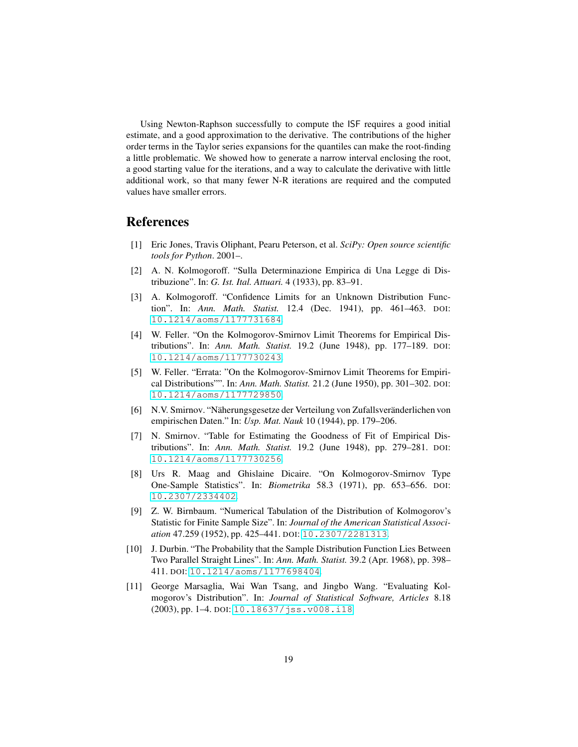Using Newton-Raphson successfully to compute the ISF requires a good initial estimate, and a good approximation to the derivative. The contributions of the higher order terms in the Taylor series expansions for the quantiles can make the root-finding a little problematic. We showed how to generate a narrow interval enclosing the root, a good starting value for the iterations, and a way to calculate the derivative with little additional work, so that many fewer N-R iterations are required and the computed values have smaller errors.

### <span id="page-18-0"></span>References

- [1] Eric Jones, Travis Oliphant, Pearu Peterson, et al. *SciPy: Open source scientific tools for Python*. 2001–.
- <span id="page-18-1"></span>[2] A. N. Kolmogoroff. "Sulla Determinazione Empirica di Una Legge di Distribuzione". In: *G. Ist. Ital. Attuari.* 4 (1933), pp. 83–91.
- <span id="page-18-2"></span>[3] A. Kolmogoroff. "Confidence Limits for an Unknown Distribution Function". In: *Ann. Math. Statist.* 12.4 (Dec. 1941), pp. 461–463. DOI: [10.1214/aoms/1177731684](http://dx.doi.org/10.1214/aoms/1177731684).
- <span id="page-18-3"></span>[4] W. Feller. "On the Kolmogorov-Smirnov Limit Theorems for Empirical Distributions". In: *Ann. Math. Statist.* 19.2 (June 1948), pp. 177–189. DOI: [10.1214/aoms/1177730243](http://dx.doi.org/10.1214/aoms/1177730243).
- <span id="page-18-4"></span>[5] W. Feller. "Errata: "On the Kolmogorov-Smirnov Limit Theorems for Empirical Distributions"". In: *Ann. Math. Statist.* 21.2 (June 1950), pp. 301–302. DOI: [10.1214/aoms/1177729850](http://dx.doi.org/10.1214/aoms/1177729850).
- <span id="page-18-5"></span>[6] N.V. Smirnov. "Näherungsgesetze der Verteilung von Zufallsveränderlichen von empirischen Daten." In: *Usp. Mat. Nauk* 10 (1944), pp. 179–206.
- <span id="page-18-6"></span>[7] N. Smirnov. "Table for Estimating the Goodness of Fit of Empirical Distributions". In: *Ann. Math. Statist.* 19.2 (June 1948), pp. 279–281. DOI: [10.1214/aoms/1177730256](http://dx.doi.org/10.1214/aoms/1177730256).
- <span id="page-18-7"></span>[8] Urs R. Maag and Ghislaine Dicaire. "On Kolmogorov-Smirnov Type One-Sample Statistics". In: *Biometrika* 58.3 (1971), pp. 653–656. DOI: [10.2307/2334402](http://dx.doi.org/10.2307/2334402).
- <span id="page-18-8"></span>[9] Z. W. Birnbaum. "Numerical Tabulation of the Distribution of Kolmogorov's Statistic for Finite Sample Size". In: *Journal of the American Statistical Association* 47.259 (1952), pp. 425–441. DOI: [10.2307/2281313](http://dx.doi.org/10.2307/2281313).
- <span id="page-18-9"></span>[10] J. Durbin. "The Probability that the Sample Distribution Function Lies Between Two Parallel Straight Lines". In: *Ann. Math. Statist.* 39.2 (Apr. 1968), pp. 398– 411. DOI: [10.1214/aoms/1177698404](http://dx.doi.org/10.1214/aoms/1177698404).
- <span id="page-18-10"></span>[11] George Marsaglia, Wai Wan Tsang, and Jingbo Wang. "Evaluating Kolmogorov's Distribution". In: *Journal of Statistical Software, Articles* 8.18 (2003), pp. 1–4. DOI: [10.18637/jss.v008.i18](http://dx.doi.org/10.18637/jss.v008.i18).